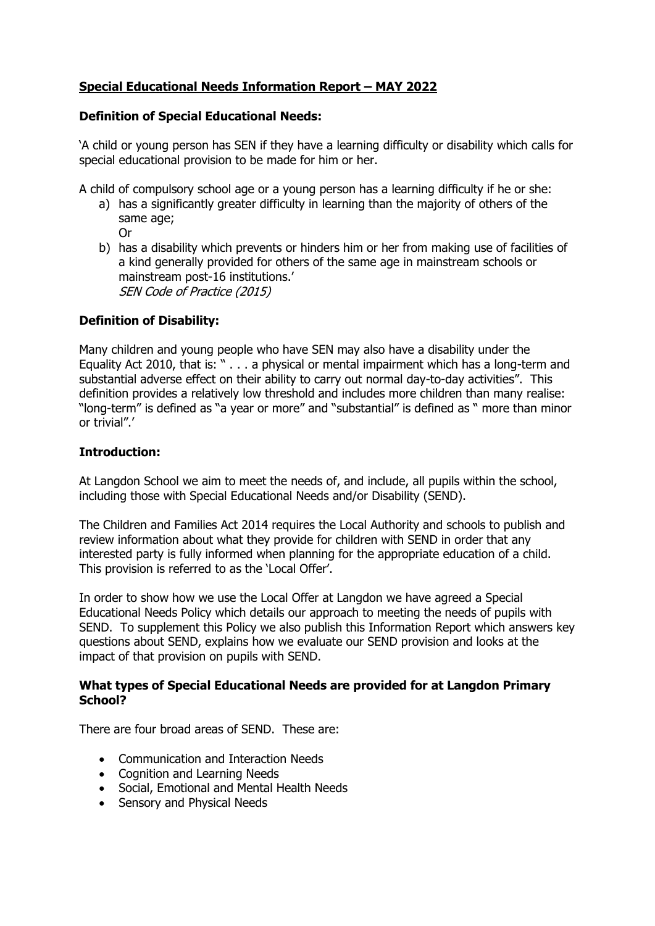# **Special Educational Needs Information Report – MAY 2022**

# **Definition of Special Educational Needs:**

'A child or young person has SEN if they have a learning difficulty or disability which calls for special educational provision to be made for him or her.

A child of compulsory school age or a young person has a learning difficulty if he or she:

- a) has a significantly greater difficulty in learning than the majority of others of the same age;
	- Or
- b) has a disability which prevents or hinders him or her from making use of facilities of a kind generally provided for others of the same age in mainstream schools or mainstream post-16 institutions.' SEN Code of Practice (2015)

# **Definition of Disability:**

Many children and young people who have SEN may also have a disability under the Equality Act 2010, that is: " . . . a physical or mental impairment which has a long-term and substantial adverse effect on their ability to carry out normal day-to-day activities". This definition provides a relatively low threshold and includes more children than many realise: "long-term" is defined as "a year or more" and "substantial" is defined as " more than minor or trivial".'

# **Introduction:**

At Langdon School we aim to meet the needs of, and include, all pupils within the school, including those with Special Educational Needs and/or Disability (SEND).

The Children and Families Act 2014 requires the Local Authority and schools to publish and review information about what they provide for children with SEND in order that any interested party is fully informed when planning for the appropriate education of a child. This provision is referred to as the 'Local Offer'.

In order to show how we use the Local Offer at Langdon we have agreed a Special Educational Needs Policy which details our approach to meeting the needs of pupils with SEND. To supplement this Policy we also publish this Information Report which answers key questions about SEND, explains how we evaluate our SEND provision and looks at the impact of that provision on pupils with SEND.

# **What types of Special Educational Needs are provided for at Langdon Primary School?**

There are four broad areas of SEND. These are:

- Communication and Interaction Needs
- Cognition and Learning Needs
- Social, Emotional and Mental Health Needs
- Sensory and Physical Needs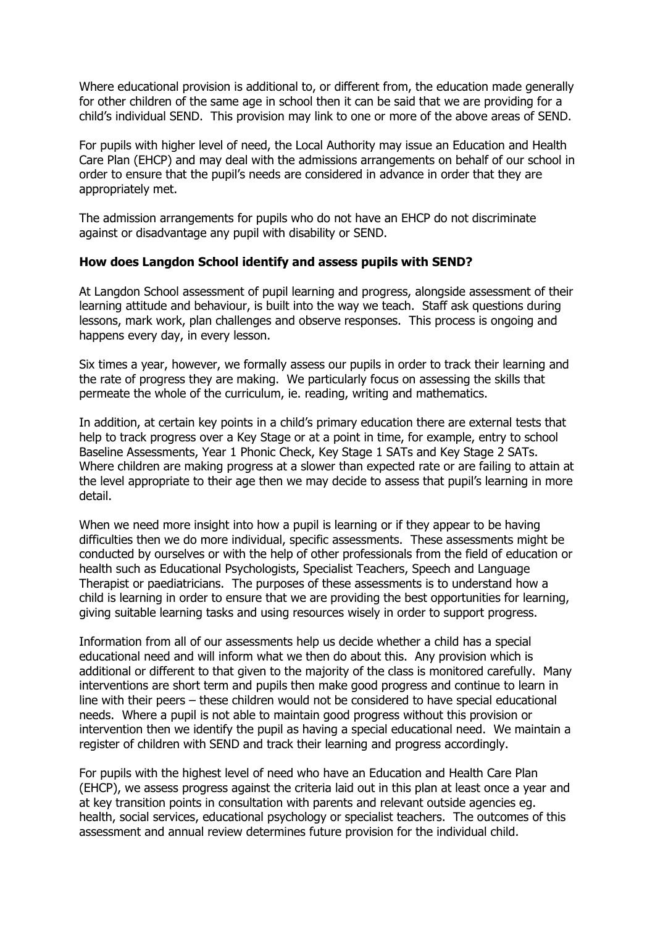Where educational provision is additional to, or different from, the education made generally for other children of the same age in school then it can be said that we are providing for a child's individual SEND. This provision may link to one or more of the above areas of SEND.

For pupils with higher level of need, the Local Authority may issue an Education and Health Care Plan (EHCP) and may deal with the admissions arrangements on behalf of our school in order to ensure that the pupil's needs are considered in advance in order that they are appropriately met.

The admission arrangements for pupils who do not have an EHCP do not discriminate against or disadvantage any pupil with disability or SEND.

# **How does Langdon School identify and assess pupils with SEND?**

At Langdon School assessment of pupil learning and progress, alongside assessment of their learning attitude and behaviour, is built into the way we teach. Staff ask questions during lessons, mark work, plan challenges and observe responses. This process is ongoing and happens every day, in every lesson.

Six times a year, however, we formally assess our pupils in order to track their learning and the rate of progress they are making. We particularly focus on assessing the skills that permeate the whole of the curriculum, ie. reading, writing and mathematics.

In addition, at certain key points in a child's primary education there are external tests that help to track progress over a Key Stage or at a point in time, for example, entry to school Baseline Assessments, Year 1 Phonic Check, Key Stage 1 SATs and Key Stage 2 SATs. Where children are making progress at a slower than expected rate or are failing to attain at the level appropriate to their age then we may decide to assess that pupil's learning in more detail.

When we need more insight into how a pupil is learning or if they appear to be having difficulties then we do more individual, specific assessments. These assessments might be conducted by ourselves or with the help of other professionals from the field of education or health such as Educational Psychologists, Specialist Teachers, Speech and Language Therapist or paediatricians. The purposes of these assessments is to understand how a child is learning in order to ensure that we are providing the best opportunities for learning, giving suitable learning tasks and using resources wisely in order to support progress.

Information from all of our assessments help us decide whether a child has a special educational need and will inform what we then do about this. Any provision which is additional or different to that given to the majority of the class is monitored carefully. Many interventions are short term and pupils then make good progress and continue to learn in line with their peers – these children would not be considered to have special educational needs. Where a pupil is not able to maintain good progress without this provision or intervention then we identify the pupil as having a special educational need. We maintain a register of children with SEND and track their learning and progress accordingly.

For pupils with the highest level of need who have an Education and Health Care Plan (EHCP), we assess progress against the criteria laid out in this plan at least once a year and at key transition points in consultation with parents and relevant outside agencies eg. health, social services, educational psychology or specialist teachers. The outcomes of this assessment and annual review determines future provision for the individual child.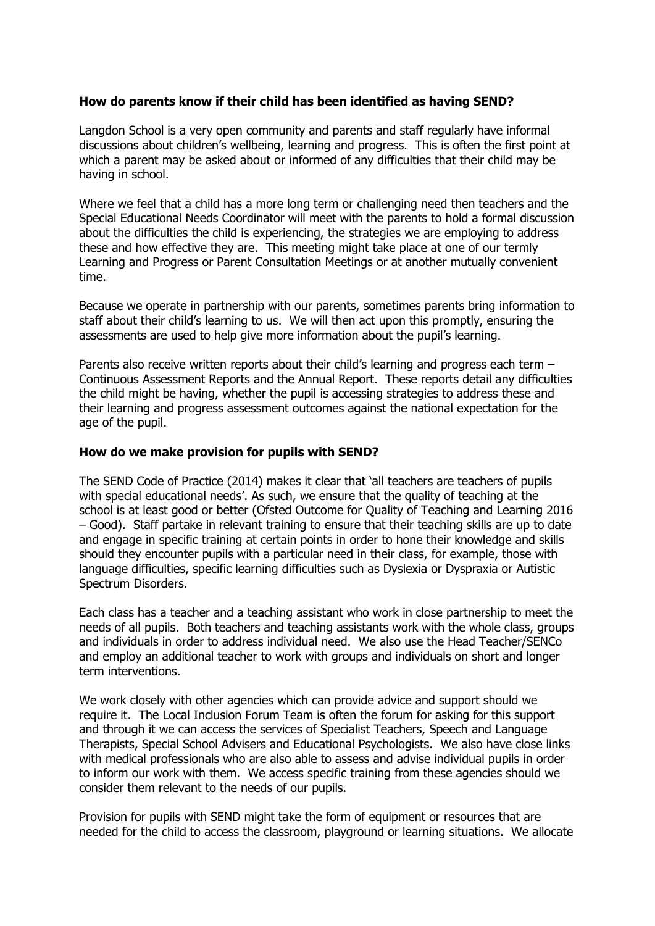# **How do parents know if their child has been identified as having SEND?**

Langdon School is a very open community and parents and staff regularly have informal discussions about children's wellbeing, learning and progress. This is often the first point at which a parent may be asked about or informed of any difficulties that their child may be having in school.

Where we feel that a child has a more long term or challenging need then teachers and the Special Educational Needs Coordinator will meet with the parents to hold a formal discussion about the difficulties the child is experiencing, the strategies we are employing to address these and how effective they are. This meeting might take place at one of our termly Learning and Progress or Parent Consultation Meetings or at another mutually convenient time.

Because we operate in partnership with our parents, sometimes parents bring information to staff about their child's learning to us. We will then act upon this promptly, ensuring the assessments are used to help give more information about the pupil's learning.

Parents also receive written reports about their child's learning and progress each term – Continuous Assessment Reports and the Annual Report. These reports detail any difficulties the child might be having, whether the pupil is accessing strategies to address these and their learning and progress assessment outcomes against the national expectation for the age of the pupil.

# **How do we make provision for pupils with SEND?**

The SEND Code of Practice (2014) makes it clear that 'all teachers are teachers of pupils with special educational needs'. As such, we ensure that the quality of teaching at the school is at least good or better (Ofsted Outcome for Quality of Teaching and Learning 2016 – Good). Staff partake in relevant training to ensure that their teaching skills are up to date and engage in specific training at certain points in order to hone their knowledge and skills should they encounter pupils with a particular need in their class, for example, those with language difficulties, specific learning difficulties such as Dyslexia or Dyspraxia or Autistic Spectrum Disorders.

Each class has a teacher and a teaching assistant who work in close partnership to meet the needs of all pupils. Both teachers and teaching assistants work with the whole class, groups and individuals in order to address individual need. We also use the Head Teacher/SENCo and employ an additional teacher to work with groups and individuals on short and longer term interventions.

We work closely with other agencies which can provide advice and support should we require it. The Local Inclusion Forum Team is often the forum for asking for this support and through it we can access the services of Specialist Teachers, Speech and Language Therapists, Special School Advisers and Educational Psychologists. We also have close links with medical professionals who are also able to assess and advise individual pupils in order to inform our work with them. We access specific training from these agencies should we consider them relevant to the needs of our pupils.

Provision for pupils with SEND might take the form of equipment or resources that are needed for the child to access the classroom, playground or learning situations. We allocate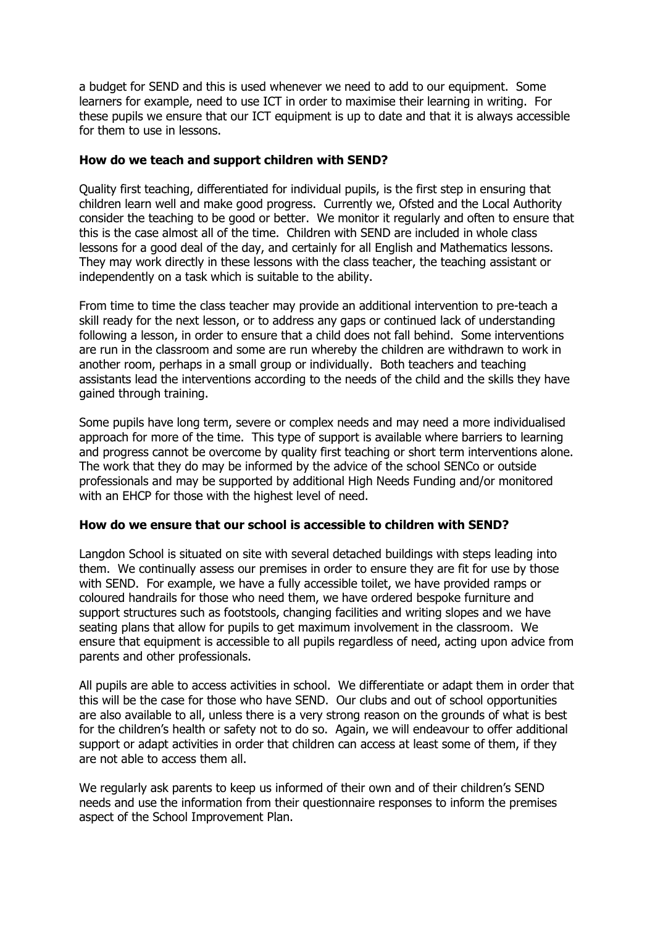a budget for SEND and this is used whenever we need to add to our equipment. Some learners for example, need to use ICT in order to maximise their learning in writing. For these pupils we ensure that our ICT equipment is up to date and that it is always accessible for them to use in lessons.

#### **How do we teach and support children with SEND?**

Quality first teaching, differentiated for individual pupils, is the first step in ensuring that children learn well and make good progress. Currently we, Ofsted and the Local Authority consider the teaching to be good or better. We monitor it regularly and often to ensure that this is the case almost all of the time. Children with SEND are included in whole class lessons for a good deal of the day, and certainly for all English and Mathematics lessons. They may work directly in these lessons with the class teacher, the teaching assistant or independently on a task which is suitable to the ability.

From time to time the class teacher may provide an additional intervention to pre-teach a skill ready for the next lesson, or to address any gaps or continued lack of understanding following a lesson, in order to ensure that a child does not fall behind. Some interventions are run in the classroom and some are run whereby the children are withdrawn to work in another room, perhaps in a small group or individually. Both teachers and teaching assistants lead the interventions according to the needs of the child and the skills they have gained through training.

Some pupils have long term, severe or complex needs and may need a more individualised approach for more of the time. This type of support is available where barriers to learning and progress cannot be overcome by quality first teaching or short term interventions alone. The work that they do may be informed by the advice of the school SENCo or outside professionals and may be supported by additional High Needs Funding and/or monitored with an EHCP for those with the highest level of need.

#### **How do we ensure that our school is accessible to children with SEND?**

Langdon School is situated on site with several detached buildings with steps leading into them. We continually assess our premises in order to ensure they are fit for use by those with SEND. For example, we have a fully accessible toilet, we have provided ramps or coloured handrails for those who need them, we have ordered bespoke furniture and support structures such as footstools, changing facilities and writing slopes and we have seating plans that allow for pupils to get maximum involvement in the classroom. We ensure that equipment is accessible to all pupils regardless of need, acting upon advice from parents and other professionals.

All pupils are able to access activities in school. We differentiate or adapt them in order that this will be the case for those who have SEND. Our clubs and out of school opportunities are also available to all, unless there is a very strong reason on the grounds of what is best for the children's health or safety not to do so. Again, we will endeavour to offer additional support or adapt activities in order that children can access at least some of them, if they are not able to access them all.

We regularly ask parents to keep us informed of their own and of their children's SEND needs and use the information from their questionnaire responses to inform the premises aspect of the School Improvement Plan.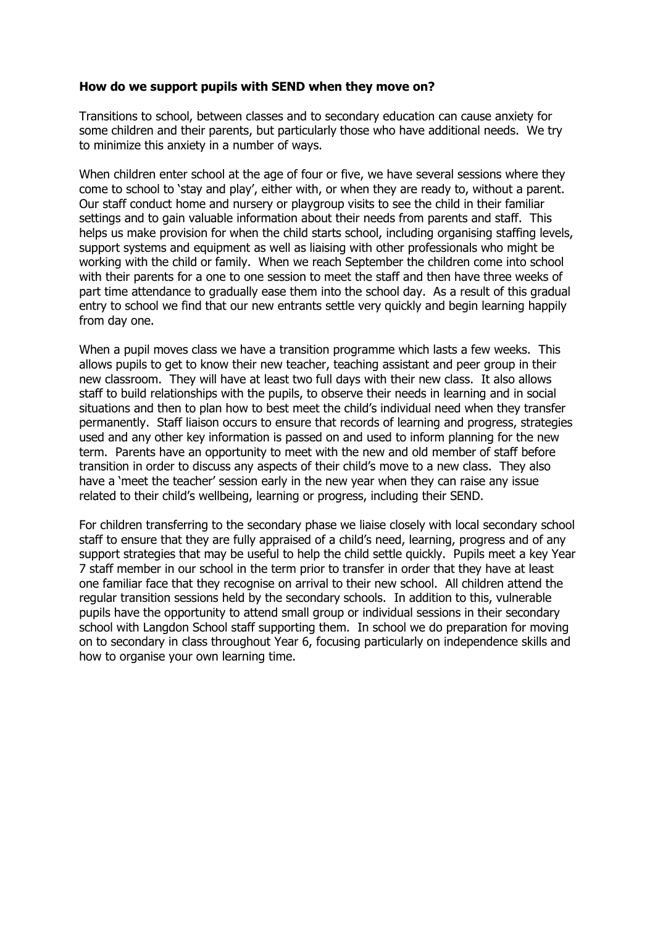#### **How do we support pupils with SEND when they move on?**

Transitions to school, between classes and to secondary education can cause anxiety for some children and their parents, but particularly those who have additional needs. We try to minimize this anxiety in a number of ways.

When children enter school at the age of four or five, we have several sessions where they come to school to 'stay and play', either with, or when they are ready to, without a parent. Our staff conduct home and nursery or playgroup visits to see the child in their familiar settings and to gain valuable information about their needs from parents and staff. This helps us make provision for when the child starts school, including organising staffing levels, support systems and equipment as well as liaising with other professionals who might be working with the child or family. When we reach September the children come into school with their parents for a one to one session to meet the staff and then have three weeks of part time attendance to gradually ease them into the school day. As a result of this gradual entry to school we find that our new entrants settle very quickly and begin learning happily from day one.

When a pupil moves class we have a transition programme which lasts a few weeks. This allows pupils to get to know their new teacher, teaching assistant and peer group in their new classroom. They will have at least two full days with their new class. It also allows staff to build relationships with the pupils, to observe their needs in learning and in social situations and then to plan how to best meet the child's individual need when they transfer permanently. Staff liaison occurs to ensure that records of learning and progress, strategies used and any other key information is passed on and used to inform planning for the new term. Parents have an opportunity to meet with the new and old member of staff before transition in order to discuss any aspects of their child's move to a new class. They also have a 'meet the teacher' session early in the new year when they can raise any issue related to their child's wellbeing, learning or progress, including their SEND.

For children transferring to the secondary phase we liaise closely with local secondary school staff to ensure that they are fully appraised of a child's need, learning, progress and of any support strategies that may be useful to help the child settle quickly. Pupils meet a key Year 7 staff member in our school in the term prior to transfer in order that they have at least one familiar face that they recognise on arrival to their new school. All children attend the regular transition sessions held by the secondary schools. In addition to this, vulnerable pupils have the opportunity to attend small group or individual sessions in their secondary school with Langdon School staff supporting them. In school we do preparation for moving on to secondary in class throughout Year 6, focusing particularly on independence skills and how to organise your own learning time.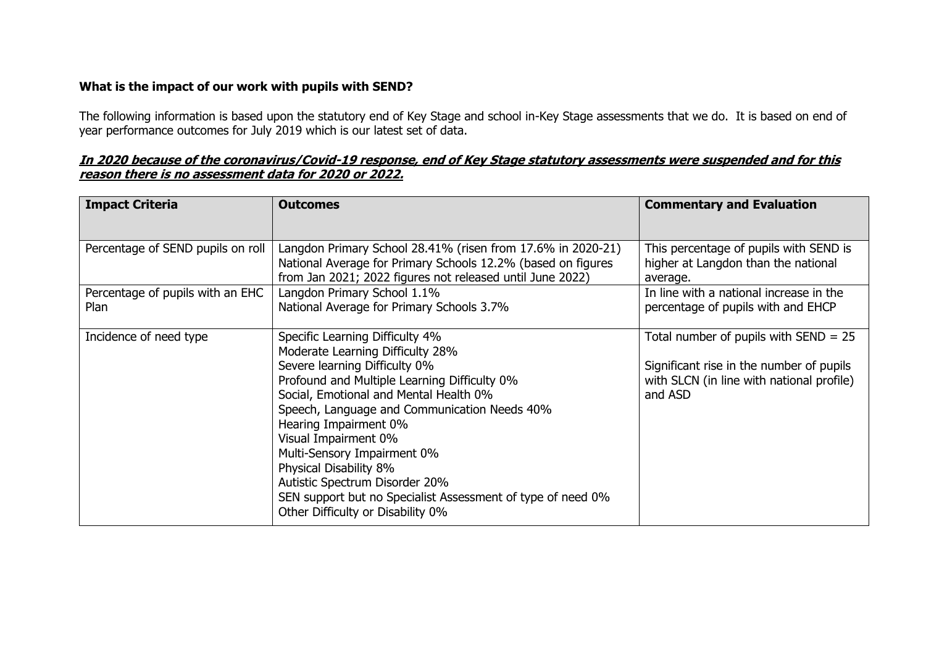# **What is the impact of our work with pupils with SEND?**

The following information is based upon the statutory end of Key Stage and school in-Key Stage assessments that we do. It is based on end of year performance outcomes for July 2019 which is our latest set of data.

# **In 2020 because of the coronavirus/Covid-19 response, end of Key Stage statutory assessments were suspended and for this reason there is no assessment data for 2020 or 2022.**

| <b>Impact Criteria</b>                   | <b>Outcomes</b>                                                                                                                                                                                                                                                                                                                                                                                                                                                                                | <b>Commentary and Evaluation</b>                                                                                                            |
|------------------------------------------|------------------------------------------------------------------------------------------------------------------------------------------------------------------------------------------------------------------------------------------------------------------------------------------------------------------------------------------------------------------------------------------------------------------------------------------------------------------------------------------------|---------------------------------------------------------------------------------------------------------------------------------------------|
| Percentage of SEND pupils on roll        | Langdon Primary School 28.41% (risen from 17.6% in 2020-21)<br>National Average for Primary Schools 12.2% (based on figures<br>from Jan 2021; 2022 figures not released until June 2022)                                                                                                                                                                                                                                                                                                       | This percentage of pupils with SEND is<br>higher at Langdon than the national<br>average.                                                   |
| Percentage of pupils with an EHC<br>Plan | Langdon Primary School 1.1%<br>National Average for Primary Schools 3.7%                                                                                                                                                                                                                                                                                                                                                                                                                       | In line with a national increase in the<br>percentage of pupils with and EHCP                                                               |
| Incidence of need type                   | Specific Learning Difficulty 4%<br>Moderate Learning Difficulty 28%<br>Severe learning Difficulty 0%<br>Profound and Multiple Learning Difficulty 0%<br>Social, Emotional and Mental Health 0%<br>Speech, Language and Communication Needs 40%<br>Hearing Impairment 0%<br>Visual Impairment 0%<br>Multi-Sensory Impairment 0%<br>Physical Disability 8%<br>Autistic Spectrum Disorder 20%<br>SEN support but no Specialist Assessment of type of need 0%<br>Other Difficulty or Disability 0% | Total number of pupils with $SEND = 25$<br>Significant rise in the number of pupils<br>with SLCN (in line with national profile)<br>and ASD |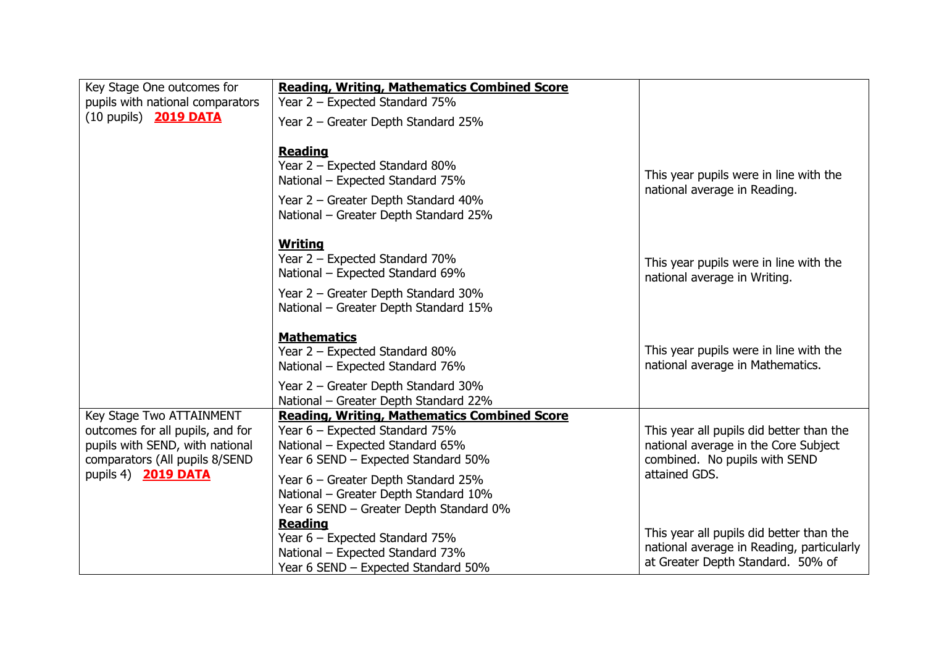| Key Stage One outcomes for<br>pupils with national comparators<br>(10 pupils) 2019 DATA                                                                  | <b>Reading, Writing, Mathematics Combined Score</b><br>Year 2 - Expected Standard 75%<br>Year 2 - Greater Depth Standard 25%                                                                                                                                                                                                         |                                                                                                                                    |
|----------------------------------------------------------------------------------------------------------------------------------------------------------|--------------------------------------------------------------------------------------------------------------------------------------------------------------------------------------------------------------------------------------------------------------------------------------------------------------------------------------|------------------------------------------------------------------------------------------------------------------------------------|
|                                                                                                                                                          | <b>Reading</b><br>Year 2 - Expected Standard 80%<br>National – Expected Standard 75%<br>Year 2 - Greater Depth Standard 40%<br>National - Greater Depth Standard 25%                                                                                                                                                                 | This year pupils were in line with the<br>national average in Reading.                                                             |
|                                                                                                                                                          | <b>Writing</b><br>Year 2 - Expected Standard 70%<br>National – Expected Standard 69%<br>Year 2 - Greater Depth Standard 30%<br>National - Greater Depth Standard 15%                                                                                                                                                                 | This year pupils were in line with the<br>national average in Writing.                                                             |
|                                                                                                                                                          | <b>Mathematics</b><br>Year 2 - Expected Standard 80%<br>National – Expected Standard 76%<br>Year 2 - Greater Depth Standard 30%                                                                                                                                                                                                      | This year pupils were in line with the<br>national average in Mathematics.                                                         |
| Key Stage Two ATTAINMENT<br>outcomes for all pupils, and for<br>pupils with SEND, with national<br>comparators (All pupils 8/SEND<br>pupils 4) 2019 DATA | National - Greater Depth Standard 22%<br><b>Reading, Writing, Mathematics Combined Score</b><br>Year 6 - Expected Standard 75%<br>National – Expected Standard 65%<br>Year 6 SEND - Expected Standard 50%<br>Year 6 - Greater Depth Standard 25%<br>National - Greater Depth Standard 10%<br>Year 6 SEND - Greater Depth Standard 0% | This year all pupils did better than the<br>national average in the Core Subject<br>combined. No pupils with SEND<br>attained GDS. |
|                                                                                                                                                          | <b>Reading</b><br>Year 6 - Expected Standard 75%<br>National – Expected Standard 73%<br>Year 6 SEND - Expected Standard 50%                                                                                                                                                                                                          | This year all pupils did better than the<br>national average in Reading, particularly<br>at Greater Depth Standard. 50% of         |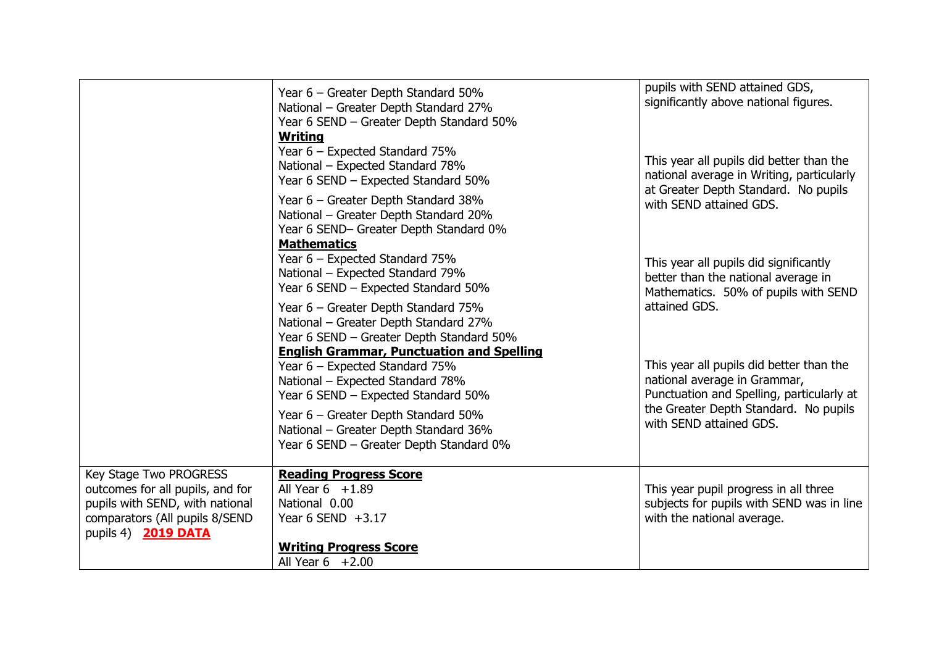|                                                                                          | Year 6 - Greater Depth Standard 50%<br>National - Greater Depth Standard 27%<br>Year 6 SEND - Greater Depth Standard 50%<br><b>Writing</b><br>Year 6 – Expected Standard 75% | pupils with SEND attained GDS,<br>significantly above national figures.                                                       |
|------------------------------------------------------------------------------------------|------------------------------------------------------------------------------------------------------------------------------------------------------------------------------|-------------------------------------------------------------------------------------------------------------------------------|
|                                                                                          | National - Expected Standard 78%<br>Year 6 SEND - Expected Standard 50%                                                                                                      | This year all pupils did better than the<br>national average in Writing, particularly<br>at Greater Depth Standard. No pupils |
|                                                                                          | Year 6 - Greater Depth Standard 38%<br>National - Greater Depth Standard 20%<br>Year 6 SEND- Greater Depth Standard 0%<br><b>Mathematics</b>                                 | with SEND attained GDS.                                                                                                       |
|                                                                                          | Year 6 - Expected Standard 75%<br>National - Expected Standard 79%<br>Year 6 SEND - Expected Standard 50%                                                                    | This year all pupils did significantly<br>better than the national average in<br>Mathematics. 50% of pupils with SEND         |
|                                                                                          | Year 6 - Greater Depth Standard 75%<br>National - Greater Depth Standard 27%<br>Year 6 SEND - Greater Depth Standard 50%                                                     | attained GDS.                                                                                                                 |
|                                                                                          | <b>English Grammar, Punctuation and Spelling</b><br>Year 6 - Expected Standard 75%<br>National - Expected Standard 78%<br>Year 6 SEND - Expected Standard 50%                | This year all pupils did better than the<br>national average in Grammar,<br>Punctuation and Spelling, particularly at         |
|                                                                                          | Year 6 - Greater Depth Standard 50%<br>National - Greater Depth Standard 36%<br>Year 6 SEND - Greater Depth Standard 0%                                                      | the Greater Depth Standard. No pupils<br>with SEND attained GDS.                                                              |
| Key Stage Two PROGRESS<br>outcomes for all pupils, and for                               | <b>Reading Progress Score</b><br>All Year $6 + 1.89$                                                                                                                         | This year pupil progress in all three                                                                                         |
| pupils with SEND, with national<br>comparators (All pupils 8/SEND<br>pupils 4) 2019 DATA | National 0.00<br>Year 6 SEND $+3.17$                                                                                                                                         | subjects for pupils with SEND was in line<br>with the national average.                                                       |
|                                                                                          | <b>Writing Progress Score</b><br>All Year $6 + 2.00$                                                                                                                         |                                                                                                                               |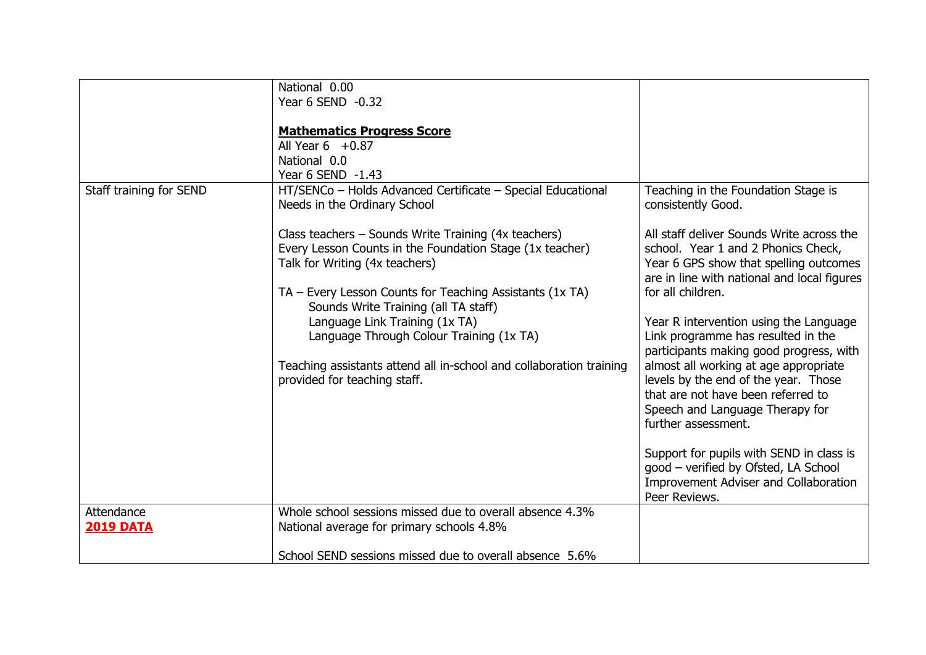|                                | National 0.00<br>Year 6 SEND -0.32<br><b>Mathematics Progress Score</b><br>All Year $6 + 0.87$<br>National 0.0<br>Year 6 SEND -1.43                                                                                                                                                                                                                                                                                                                                                                                                          |                                                                                                                                                                                                                                                                                                                                                                                                                                                                                                                                                                                                                                                                                                                       |
|--------------------------------|----------------------------------------------------------------------------------------------------------------------------------------------------------------------------------------------------------------------------------------------------------------------------------------------------------------------------------------------------------------------------------------------------------------------------------------------------------------------------------------------------------------------------------------------|-----------------------------------------------------------------------------------------------------------------------------------------------------------------------------------------------------------------------------------------------------------------------------------------------------------------------------------------------------------------------------------------------------------------------------------------------------------------------------------------------------------------------------------------------------------------------------------------------------------------------------------------------------------------------------------------------------------------------|
| Staff training for SEND        | HT/SENCo - Holds Advanced Certificate - Special Educational<br>Needs in the Ordinary School<br>Class teachers – Sounds Write Training (4x teachers)<br>Every Lesson Counts in the Foundation Stage (1x teacher)<br>Talk for Writing (4x teachers)<br>$TA$ – Every Lesson Counts for Teaching Assistants (1x TA)<br>Sounds Write Training (all TA staff)<br>Language Link Training (1x TA)<br>Language Through Colour Training (1x TA)<br>Teaching assistants attend all in-school and collaboration training<br>provided for teaching staff. | Teaching in the Foundation Stage is<br>consistently Good.<br>All staff deliver Sounds Write across the<br>school. Year 1 and 2 Phonics Check,<br>Year 6 GPS show that spelling outcomes<br>are in line with national and local figures<br>for all children.<br>Year R intervention using the Language<br>Link programme has resulted in the<br>participants making good progress, with<br>almost all working at age appropriate<br>levels by the end of the year. Those<br>that are not have been referred to<br>Speech and Language Therapy for<br>further assessment.<br>Support for pupils with SEND in class is<br>good - verified by Ofsted, LA School<br>Improvement Adviser and Collaboration<br>Peer Reviews. |
| Attendance<br><b>2019 DATA</b> | Whole school sessions missed due to overall absence 4.3%<br>National average for primary schools 4.8%<br>School SEND sessions missed due to overall absence 5.6%                                                                                                                                                                                                                                                                                                                                                                             |                                                                                                                                                                                                                                                                                                                                                                                                                                                                                                                                                                                                                                                                                                                       |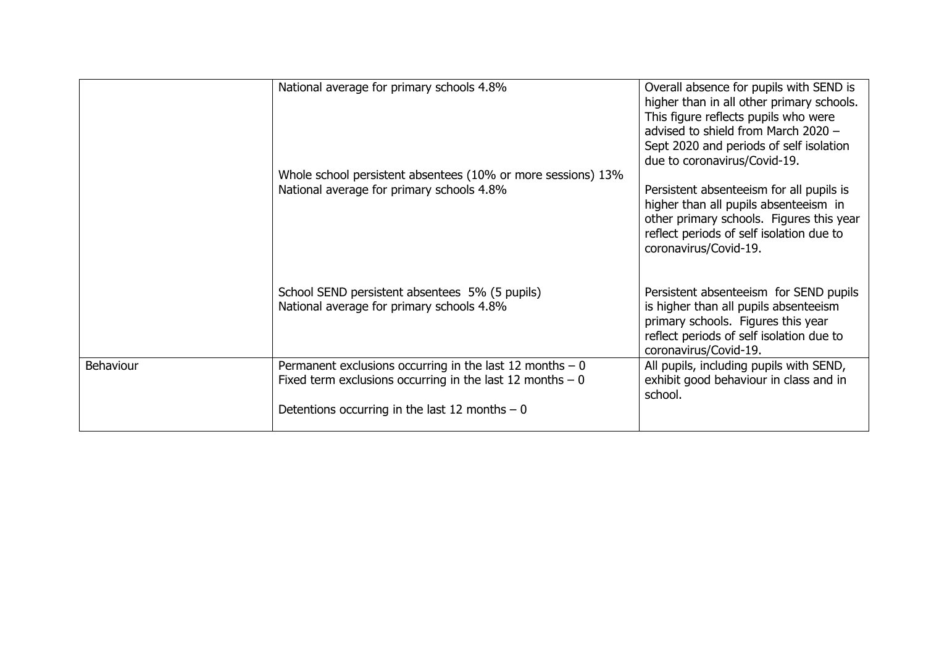|           | National average for primary schools 4.8%<br>Whole school persistent absentees (10% or more sessions) 13%<br>National average for primary schools 4.8% | Overall absence for pupils with SEND is<br>higher than in all other primary schools.<br>This figure reflects pupils who were<br>advised to shield from March 2020 -<br>Sept 2020 and periods of self isolation<br>due to coronavirus/Covid-19.<br>Persistent absenteeism for all pupils is<br>higher than all pupils absenteeism in<br>other primary schools. Figures this year<br>reflect periods of self isolation due to<br>coronavirus/Covid-19. |
|-----------|--------------------------------------------------------------------------------------------------------------------------------------------------------|------------------------------------------------------------------------------------------------------------------------------------------------------------------------------------------------------------------------------------------------------------------------------------------------------------------------------------------------------------------------------------------------------------------------------------------------------|
|           | School SEND persistent absentees 5% (5 pupils)<br>National average for primary schools 4.8%                                                            | Persistent absenteeism for SEND pupils<br>is higher than all pupils absenteeism<br>primary schools. Figures this year<br>reflect periods of self isolation due to<br>coronavirus/Covid-19.                                                                                                                                                                                                                                                           |
| Behaviour | Permanent exclusions occurring in the last 12 months $-0$                                                                                              | All pupils, including pupils with SEND,                                                                                                                                                                                                                                                                                                                                                                                                              |
|           | Fixed term exclusions occurring in the last 12 months $-0$                                                                                             | exhibit good behaviour in class and in<br>school.                                                                                                                                                                                                                                                                                                                                                                                                    |
|           | Detentions occurring in the last 12 months $-0$                                                                                                        |                                                                                                                                                                                                                                                                                                                                                                                                                                                      |
|           |                                                                                                                                                        |                                                                                                                                                                                                                                                                                                                                                                                                                                                      |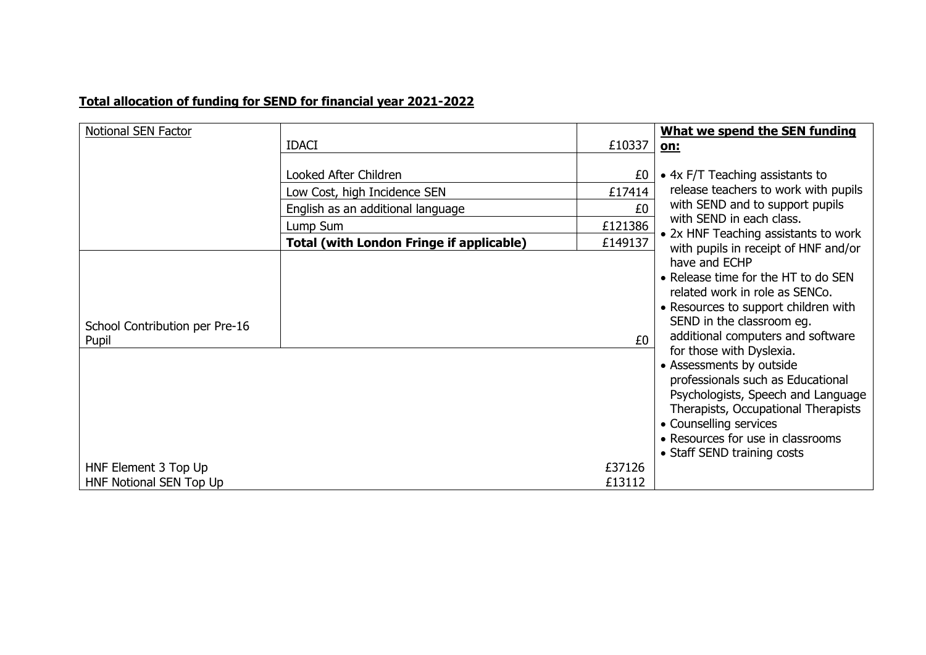# **Total allocation of funding for SEND for financial year 2021-2022**

| Notional SEN Factor                             |                                                 |                  | What we spend the SEN funding                                                                                                                                                                                                                                                                                                                                                                                                                                                                                                                            |
|-------------------------------------------------|-------------------------------------------------|------------------|----------------------------------------------------------------------------------------------------------------------------------------------------------------------------------------------------------------------------------------------------------------------------------------------------------------------------------------------------------------------------------------------------------------------------------------------------------------------------------------------------------------------------------------------------------|
|                                                 | <b>IDACI</b>                                    | £10337           | on:                                                                                                                                                                                                                                                                                                                                                                                                                                                                                                                                                      |
|                                                 | Looked After Children                           | £0               | • 4x F/T Teaching assistants to                                                                                                                                                                                                                                                                                                                                                                                                                                                                                                                          |
|                                                 | Low Cost, high Incidence SEN                    | £17414           | release teachers to work with pupils                                                                                                                                                                                                                                                                                                                                                                                                                                                                                                                     |
|                                                 | English as an additional language               | £0               | with SEND and to support pupils                                                                                                                                                                                                                                                                                                                                                                                                                                                                                                                          |
|                                                 | Lump Sum                                        | £121386          | with SEND in each class.                                                                                                                                                                                                                                                                                                                                                                                                                                                                                                                                 |
|                                                 | <b>Total (with London Fringe if applicable)</b> | £149137          | • 2x HNF Teaching assistants to work<br>with pupils in receipt of HNF and/or<br>have and ECHP<br>• Release time for the HT to do SEN<br>related work in role as SENCo.<br>• Resources to support children with<br>SEND in the classroom eg.<br>additional computers and software<br>for those with Dyslexia.<br>• Assessments by outside<br>professionals such as Educational<br>Psychologists, Speech and Language<br>Therapists, Occupational Therapists<br>• Counselling services<br>• Resources for use in classrooms<br>• Staff SEND training costs |
| School Contribution per Pre-16<br>Pupil         |                                                 | £0               |                                                                                                                                                                                                                                                                                                                                                                                                                                                                                                                                                          |
| HNF Element 3 Top Up<br>HNF Notional SEN Top Up |                                                 | £37126<br>£13112 |                                                                                                                                                                                                                                                                                                                                                                                                                                                                                                                                                          |